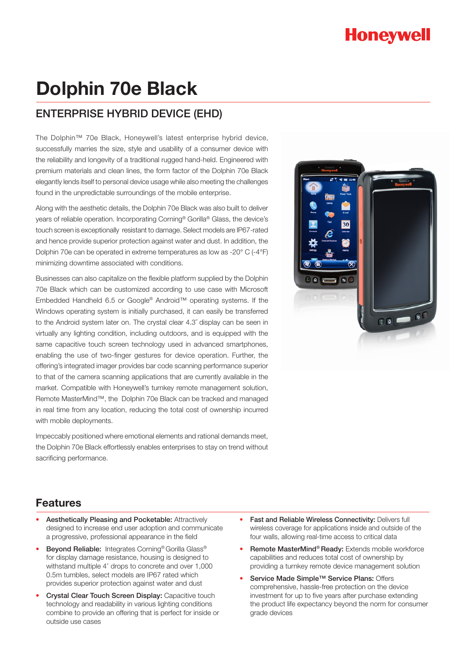# **Honeywell**

# **Dolphin 70e Black**

## ENTERPRISE HYBRID DEVICE (EHD)

The Dolphin™ 70e Black, Honeywell's latest enterprise hybrid device, successfully marries the size, style and usability of a consumer device with the reliability and longevity of a traditional rugged hand-held. Engineered with premium materials and clean lines, the form factor of the Dolphin 70e Black elegantly lends itself to personal device usage while also meeting the challenges found in the unpredictable surroundings of the mobile enterprise.

Along with the aesthetic details, the Dolphin 70e Black was also built to deliver years of reliable operation. Incorporating Corning® Gorilla® Glass, the device's touch screen is exceptionally resistant to damage. Select models are IP67-rated and hence provide superior protection against water and dust. In addition, the Dolphin 70e can be operated in extreme temperatures as low as -20° C (-4°F) minimizing downtime associated with conditions.

Businesses can also capitalize on the flexible platform supplied by the Dolphin 70e Black which can be customized according to use case with Microsoft Embedded Handheld 6.5 or Google® Android™ operating systems. If the Windows operating system is initially purchased, it can easily be transferred to the Android system later on. The crystal clear 4.3˝ display can be seen in virtually any lighting condition, including outdoors, and is equipped with the same capacitive touch screen technology used in advanced smartphones, enabling the use of two-finger gestures for device operation. Further, the offering's integrated imager provides bar code scanning performance superior to that of the camera scanning applications that are currently available in the market. Compatible with Honeywell's turnkey remote management solution, Remote MasterMind™, the Dolphin 70e Black can be tracked and managed in real time from any location, reducing the total cost of ownership incurred with mobile deployments.

Impeccably positioned where emotional elements and rational demands meet, the Dolphin 70e Black effortlessly enables enterprises to stay on trend without sacrificing performance.



### **Features**

- Aesthetically Pleasing and Pocketable: Attractively designed to increase end user adoption and communicate a progressive, professional appearance in the field
- Beyond Reliable: Integrates Corning<sup>®</sup> Gorilla Glass<sup>®</sup> for display damage resistance, housing is designed to withstand multiple 4' drops to concrete and over 1,000 0.5m tumbles, select models are IP67 rated which provides superior protection against water and dust
- Crystal Clear Touch Screen Display: Capacitive touch technology and readability in various lighting conditions combine to provide an offering that is perfect for inside or outside use cases
- Fast and Reliable Wireless Connectivity: Delivers full wireless coverage for applications inside and outside of the four walls, allowing real-time access to critical data
- Remote MasterMind® Ready: Extends mobile workforce capabilities and reduces total cost of ownership by providing a turnkey remote device management solution
- Service Made Simple™ Service Plans: Offers comprehensive, hassle-free protection on the device investment for up to five years after purchase extending the product life expectancy beyond the norm for consumer grade devices